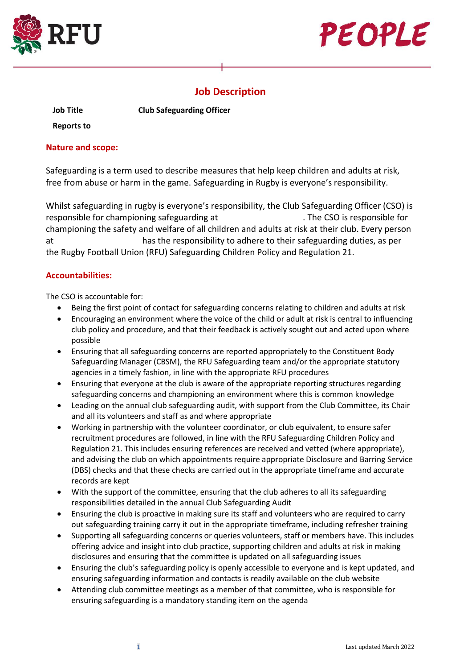



# **Job Description**

**Job Title**

**Club Safeguarding Officer** 

**Reports to**

### **Nature and scope:**

Safeguarding is a term used to describe measures that help keep children and adults at risk, free from abuse or harm in the game. Safeguarding in Rugby is everyone's responsibility.

Whilst safeguarding in rugby is everyone's responsibility, the Club Safeguarding Officer (CSO) is responsible for championing safeguarding at . The CSO is responsible for championing the safety and welfare of all children and adults at risk at their club. Every person at has the responsibility to adhere to their safeguarding duties, as per the Rugby Football Union (RFU) Safeguarding Children Policy and Regulation 21.

## **Accountabilities:**

The CSO is accountable for:

- Being the first point of contact for safeguarding concerns relating to children and adults at risk
- Encouraging an environment where the voice of the child or adult at risk is central to influencing club policy and procedure, and that their feedback is actively sought out and acted upon where possible
- Ensuring that all safeguarding concerns are reported appropriately to the Constituent Body Safeguarding Manager (CBSM), the RFU Safeguarding team and/or the appropriate statutory agencies in a timely fashion, in line with the appropriate RFU procedures
- Ensuring that everyone at the club is aware of the appropriate reporting structures regarding safeguarding concerns and championing an environment where this is common knowledge
- Leading on the annual club safeguarding audit, with support from the Club Committee, its Chair and all its volunteers and staff as and where appropriate
- Working in partnership with the volunteer coordinator, or club equivalent, to ensure safer recruitment procedures are followed, in line with the RFU Safeguarding Children Policy and Regulation 21. This includes ensuring references are received and vetted (where appropriate), and advising the club on which appointments require appropriate Disclosure and Barring Service (DBS) checks and that these checks are carried out in the appropriate timeframe and accurate records are kept
- With the support of the committee, ensuring that the club adheres to all its safeguarding responsibilities detailed in the annual Club Safeguarding Audit
- Ensuring the club is proactive in making sure its staff and volunteers who are required to carry out safeguarding training carry it out in the appropriate timeframe, including refresher training
- Supporting all safeguarding concerns or queries volunteers, staff or members have. This includes offering advice and insight into club practice, supporting children and adults at risk in making disclosures and ensuring that the committee is updated on all safeguarding issues
- Ensuring the club's safeguarding policy is openly accessible to everyone and is kept updated, and ensuring safeguarding information and contacts is readily available on the club website
- Attending club committee meetings as a member of that committee, who is responsible for ensuring safeguarding is a mandatory standing item on the agenda